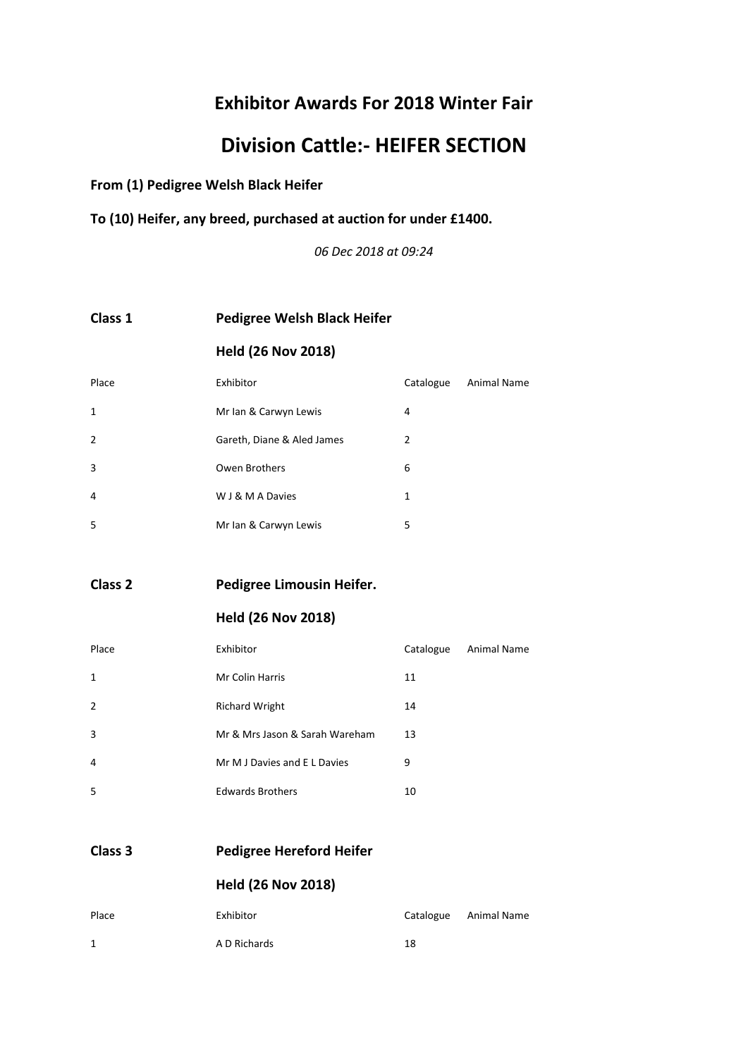# **Division Cattle:- HEIFER SECTION**

**From (1) Pedigree Welsh Black Heifer**

**To (10) Heifer, any breed, purchased at auction for under £1400.**

*06 Dec 2018 at 09:24*

#### **Class 1 Pedigree Welsh Black Heifer**

#### **Held (26 Nov 2018)**

| Place          | Exhibitor                  | Catalogue | <b>Animal Name</b> |
|----------------|----------------------------|-----------|--------------------|
| 1              | Mr Ian & Carwyn Lewis      | 4         |                    |
| $\overline{2}$ | Gareth, Diane & Aled James | 2         |                    |
| 3              | Owen Brothers              | 6         |                    |
| 4              | W J & M A Davies           | 1         |                    |
| 5              | Mr Ian & Carwyn Lewis      | 5         |                    |

**Class 2 Pedigree Limousin Heifer.**

#### **Held (26 Nov 2018)**

| Place        | Exhibitor                      | Catalogue | <b>Animal Name</b> |
|--------------|--------------------------------|-----------|--------------------|
| $\mathbf{1}$ | <b>Mr Colin Harris</b>         | 11        |                    |
| 2            | <b>Richard Wright</b>          | 14        |                    |
| 3            | Mr & Mrs Jason & Sarah Wareham | 13        |                    |
| 4            | Mr M J Davies and E L Davies   | 9         |                    |
| 5            | <b>Edwards Brothers</b>        | 10        |                    |
|              |                                |           |                    |

**Class 3 Pedigree Hereford Heifer**

| <b>Held (26 Nov 2018)</b> |  |
|---------------------------|--|
|---------------------------|--|

| Place | Exhibitor    |    | Catalogue Animal Name |
|-------|--------------|----|-----------------------|
| 1     | A D Richards | 18 |                       |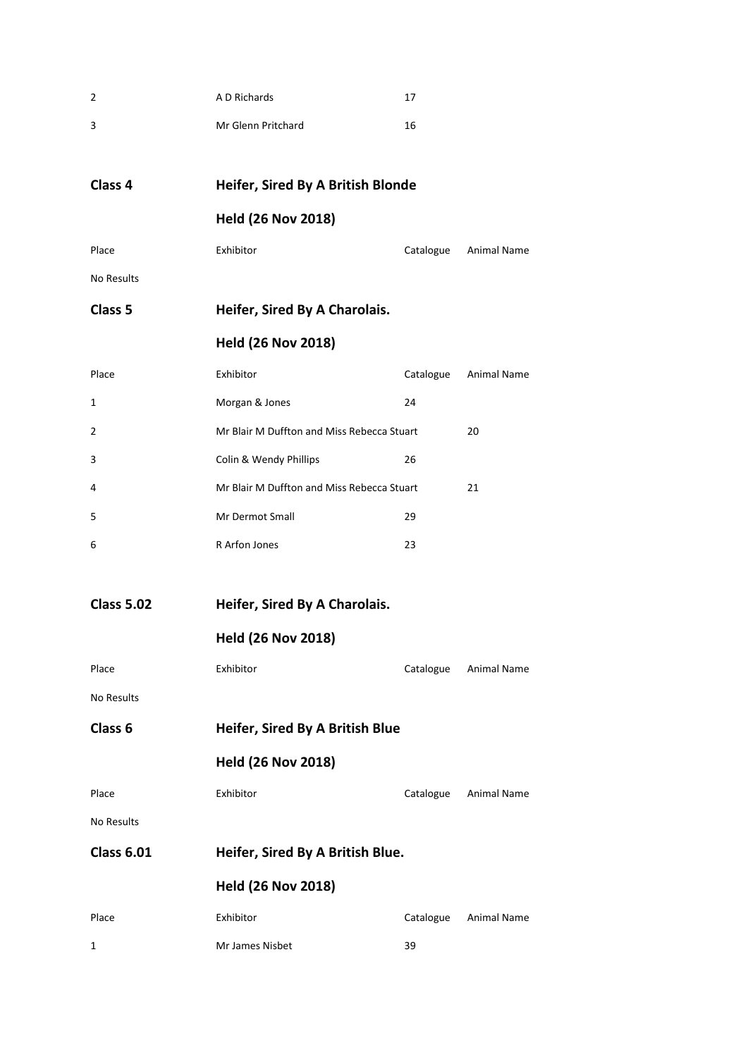| 2                  | A D Richards                               | 17        |             |
|--------------------|--------------------------------------------|-----------|-------------|
| 3                  | Mr Glenn Pritchard                         | 16        |             |
|                    |                                            |           |             |
| Class 4            | Heifer, Sired By A British Blonde          |           |             |
|                    | <b>Held (26 Nov 2018)</b>                  |           |             |
| Place              | Exhibitor                                  | Catalogue | Animal Name |
| No Results         |                                            |           |             |
| Class 5            | Heifer, Sired By A Charolais.              |           |             |
|                    | <b>Held (26 Nov 2018)</b>                  |           |             |
| Place              | Exhibitor                                  | Catalogue | Animal Name |
| 1                  | Morgan & Jones                             | 24        |             |
| 2                  | Mr Blair M Duffton and Miss Rebecca Stuart |           | 20          |
| 3                  | Colin & Wendy Phillips                     | 26        |             |
| 4                  | Mr Blair M Duffton and Miss Rebecca Stuart |           | 21          |
| 5                  | Mr Dermot Small                            | 29        |             |
| 6                  | R Arfon Jones                              | 23        |             |
|                    |                                            |           |             |
| <b>Class 5.02</b>  | Heifer, Sired By A Charolais.              |           |             |
|                    | <b>Held (26 Nov 2018)</b>                  |           |             |
| Place              | Exhibitor                                  | Catalogue | Animal Name |
| No Results         |                                            |           |             |
| Class <sub>6</sub> | Heifer, Sired By A British Blue            |           |             |
|                    | <b>Held (26 Nov 2018)</b>                  |           |             |
| Place              | Exhibitor                                  | Catalogue | Animal Name |
| No Results         |                                            |           |             |
| <b>Class 6.01</b>  | Heifer, Sired By A British Blue.           |           |             |
|                    | <b>Held (26 Nov 2018)</b>                  |           |             |
| Place              | Exhibitor                                  | Catalogue | Animal Name |
| 1                  | Mr James Nisbet                            | 39        |             |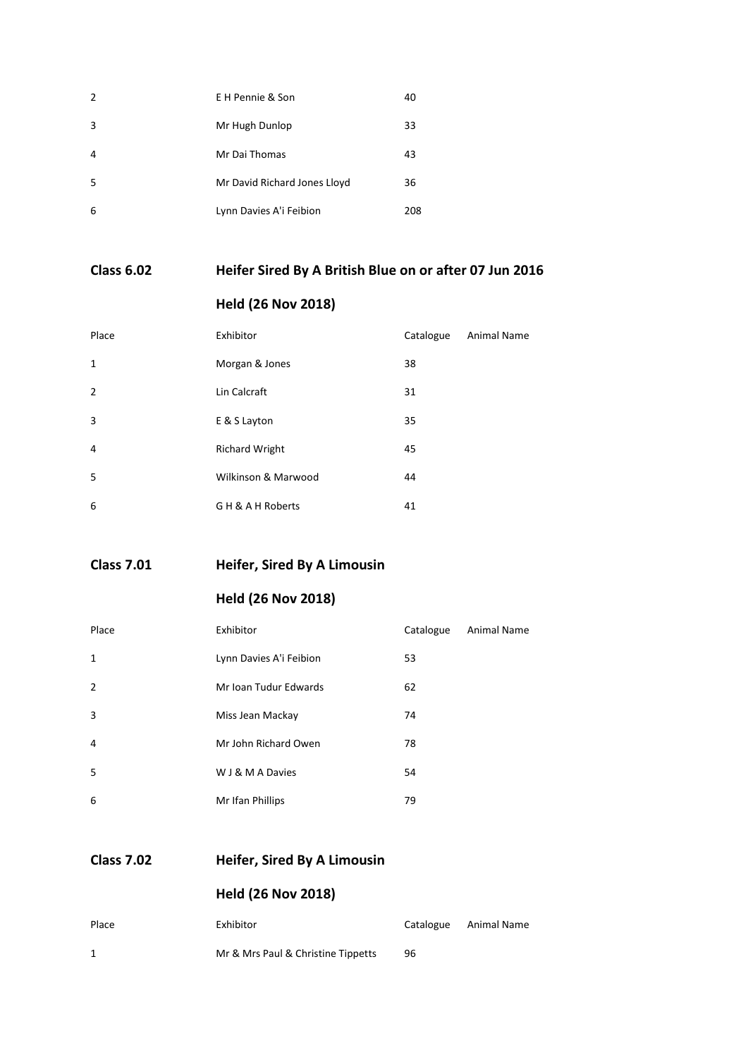| 2  | E H Pennie & Son             | 40  |
|----|------------------------------|-----|
| 3  | Mr Hugh Dunlop               | 33  |
| 4  | Mr Dai Thomas                | 43  |
| .5 | Mr David Richard Jones Lloyd | 36  |
| 6  | Lynn Davies A'i Feibion      | 208 |

#### **Class 6.02 Heifer Sired By A British Blue on or after 07 Jun 2016**

#### **Held (26 Nov 2018)**

| Place          | Exhibitor             | Catalogue | <b>Animal Name</b> |
|----------------|-----------------------|-----------|--------------------|
| $\mathbf{1}$   | Morgan & Jones        | 38        |                    |
| $\overline{2}$ | Lin Calcraft          | 31        |                    |
| 3              | E & S Layton          | 35        |                    |
| $\overline{4}$ | <b>Richard Wright</b> | 45        |                    |
| 5              | Wilkinson & Marwood   | 44        |                    |
| 6              | G H & A H Roberts     | 41        |                    |

**Class 7.01 Heifer, Sired By A Limousin**

**Held (26 Nov 2018)**

| Place         | Exhibitor               | Catalogue | <b>Animal Name</b> |
|---------------|-------------------------|-----------|--------------------|
| 1             | Lynn Davies A'i Feibion | 53        |                    |
| $\mathcal{P}$ | Mr Ioan Tudur Edwards   | 62        |                    |
| 3             | Miss Jean Mackay        | 74        |                    |
| 4             | Mr John Richard Owen    | 78        |                    |
| 5             | W J & M A Davies        | 54        |                    |
| 6             | Mr Ifan Phillips        | 79        |                    |

**Class 7.02 Heifer, Sired By A Limousin**

| Place | Exhibitor                          |    | Catalogue Animal Name |
|-------|------------------------------------|----|-----------------------|
|       | Mr & Mrs Paul & Christine Tippetts | 96 |                       |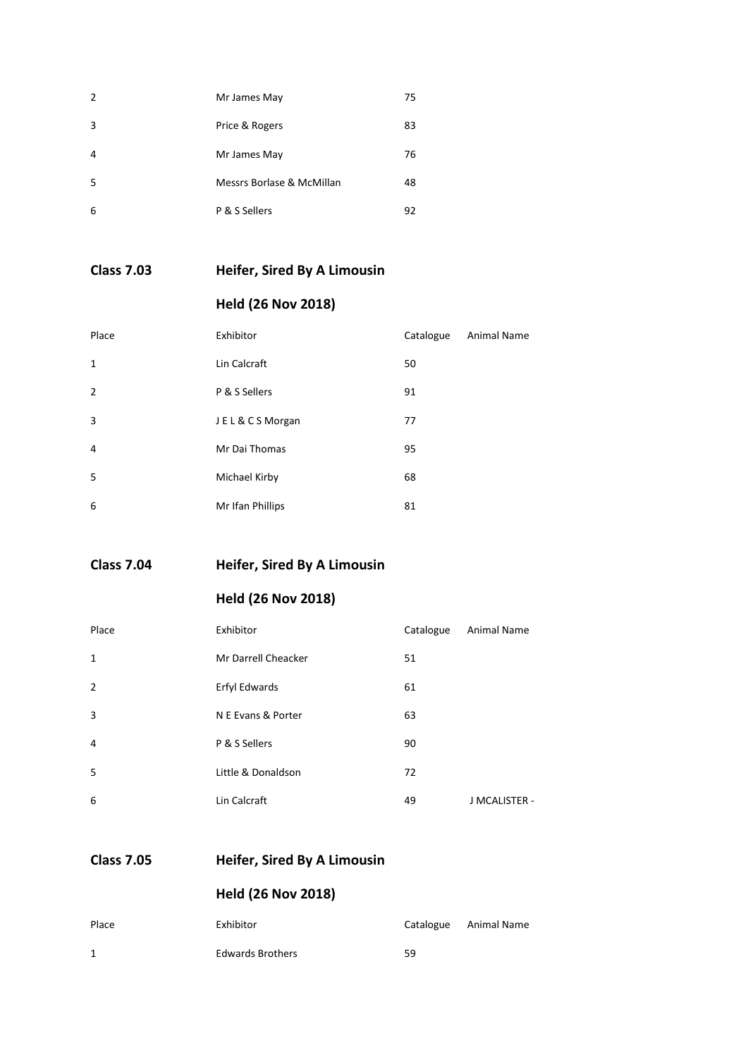| $\overline{2}$ | Mr James May              | 75 |
|----------------|---------------------------|----|
| 3              | Price & Rogers            | 83 |
| 4              | Mr James May              | 76 |
| 5              | Messrs Borlase & McMillan | 48 |
| 6              | P & S Sellers             | 92 |

**Class 7.03 Heifer, Sired By A Limousin**

#### **Held (26 Nov 2018)**

| Place          | Exhibitor        | Catalogue | <b>Animal Name</b> |
|----------------|------------------|-----------|--------------------|
| $\mathbf{1}$   | Lin Calcraft     | 50        |                    |
| $\overline{2}$ | P & S Sellers    | 91        |                    |
| 3              | JEL&CSMorgan     | 77        |                    |
| 4              | Mr Dai Thomas    | 95        |                    |
| 5              | Michael Kirby    | 68        |                    |
| 6              | Mr Ifan Phillips | 81        |                    |

**Class 7.04 Heifer, Sired By A Limousin**

**Held (26 Nov 2018)**

| Place          | Exhibitor           | Catalogue | <b>Animal Name</b> |
|----------------|---------------------|-----------|--------------------|
| $\mathbf{1}$   | Mr Darrell Cheacker | 51        |                    |
| $\overline{2}$ | Erfyl Edwards       | 61        |                    |
| 3              | N E Evans & Porter  | 63        |                    |
| 4              | P & S Sellers       | 90        |                    |
| 5              | Little & Donaldson  | 72        |                    |
| 6              | Lin Calcraft        | 49        | J MCALISTER -      |

#### **Class 7.05 Heifer, Sired By A Limousin**

| Place | Exhibitor               | Catalogue | Animal Name |
|-------|-------------------------|-----------|-------------|
| 1     | <b>Edwards Brothers</b> | 59        |             |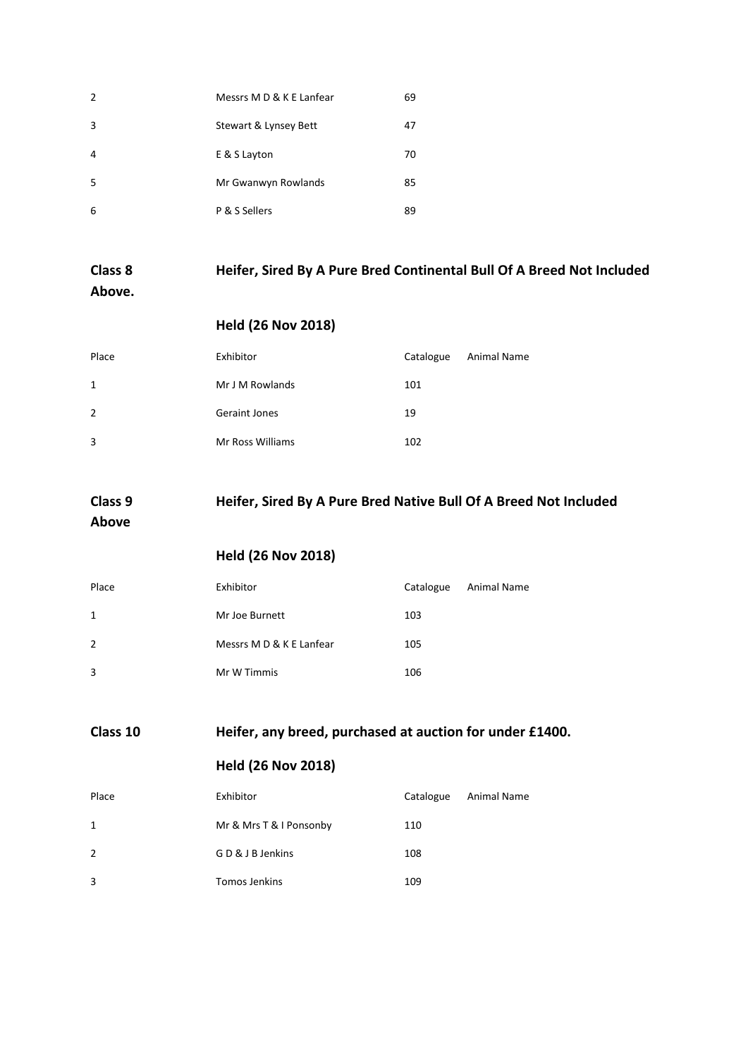| $\overline{2}$ | Messrs M D & K E Lanfear | 69 |
|----------------|--------------------------|----|
| 3              | Stewart & Lynsey Bett    | 47 |
| $\overline{4}$ | E & S Layton             | 70 |
| 5              | Mr Gwanwyn Rowlands      | 85 |
| 6              | P & S Sellers            | 89 |

# **Class 8 Heifer, Sired By A Pure Bred Continental Bull Of A Breed Not Included**

#### **Above.**

#### **Held (26 Nov 2018)**

| Place | Exhibitor               | Catalogue | Animal Name |
|-------|-------------------------|-----------|-------------|
| 1     | Mr J M Rowlands         | 101       |             |
| 2     | <b>Geraint Jones</b>    | 19        |             |
| 3     | <b>Mr Ross Williams</b> | 102       |             |

# **Class 9 Heifer, Sired By A Pure Bred Native Bull Of A Breed Not Included**

#### **Above**

#### **Held (26 Nov 2018)**

| Place | Exhibitor                | Catalogue | Animal Name |
|-------|--------------------------|-----------|-------------|
| 1     | Mr Joe Burnett           | 103       |             |
| 2     | Messrs M D & K E Lanfear | 105       |             |
| 3     | Mr W Timmis              | 106       |             |

#### **Class 10 Heifer, any breed, purchased at auction for under £1400.**

| Place        | Exhibitor               | Catalogue | Animal Name |
|--------------|-------------------------|-----------|-------------|
| $\mathbf{1}$ | Mr & Mrs T & I Ponsonby | 110       |             |
| 2            | GD & J B Jenkins        | 108       |             |
| 3            | Tomos Jenkins           | 109       |             |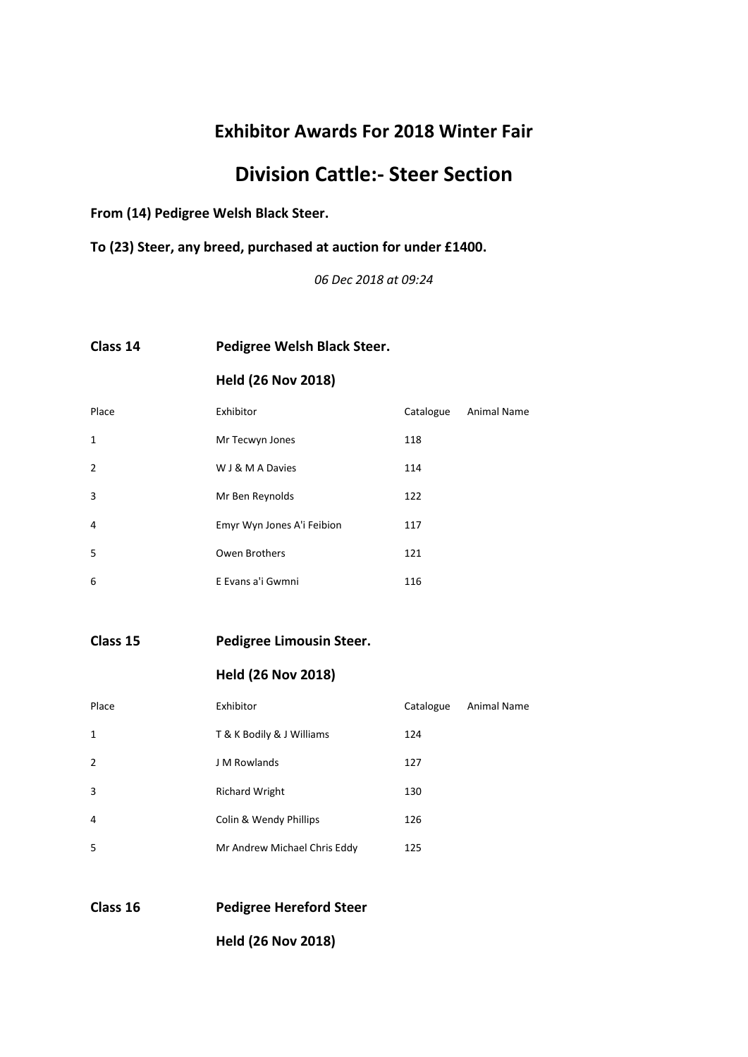# **Division Cattle:- Steer Section**

**From (14) Pedigree Welsh Black Steer.**

**To (23) Steer, any breed, purchased at auction for under £1400.**

*06 Dec 2018 at 09:24*

#### **Class 14 Pedigree Welsh Black Steer.**

#### **Held (26 Nov 2018)**

| Place          | Exhibitor                  | Catalogue | <b>Animal Name</b> |
|----------------|----------------------------|-----------|--------------------|
| $\mathbf{1}$   | Mr Tecwyn Jones            | 118       |                    |
| $\overline{2}$ | W J & M A Davies           | 114       |                    |
| 3              | Mr Ben Reynolds            | 122       |                    |
| 4              | Emyr Wyn Jones A'i Feibion | 117       |                    |
| 5              | Owen Brothers              | 121       |                    |
| 6              | E Evans a'i Gwmni          | 116       |                    |
|                |                            |           |                    |

**Class 15 Pedigree Limousin Steer.**

#### **Held (26 Nov 2018)**

| Place          | Exhibitor                    | Catalogue | Animal Name |
|----------------|------------------------------|-----------|-------------|
| 1              | T & K Bodily & J Williams    | 124       |             |
| $\overline{2}$ | J M Rowlands                 | 127       |             |
| 3              | <b>Richard Wright</b>        | 130       |             |
| $\overline{4}$ | Colin & Wendy Phillips       | 126       |             |
| 5              | Mr Andrew Michael Chris Eddy | 125       |             |

**Class 16 Pedigree Hereford Steer**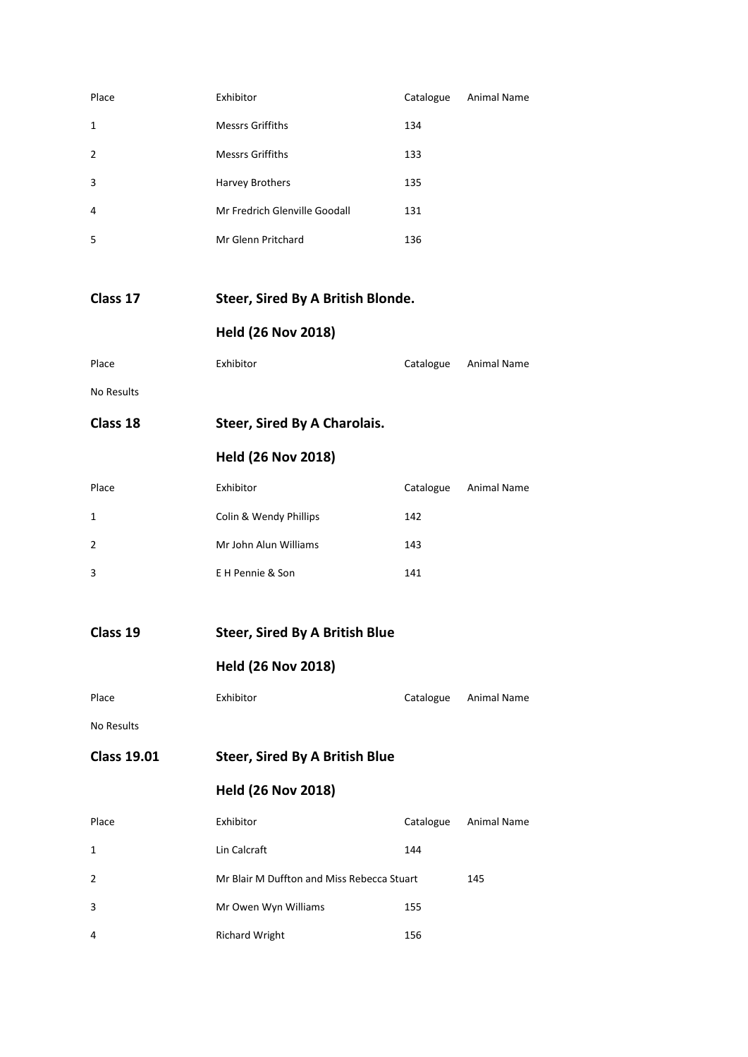| Place              | Exhibitor                                  |           | Catalogue Animal Name |
|--------------------|--------------------------------------------|-----------|-----------------------|
| 1                  | <b>Messrs Griffiths</b>                    | 134       |                       |
| 2                  | <b>Messrs Griffiths</b>                    | 133       |                       |
| 3                  | Harvey Brothers                            | 135       |                       |
| 4                  | Mr Fredrich Glenville Goodall              | 131       |                       |
| 5                  | Mr Glenn Pritchard                         | 136       |                       |
|                    |                                            |           |                       |
| Class 17           | Steer, Sired By A British Blonde.          |           |                       |
|                    | <b>Held (26 Nov 2018)</b>                  |           |                       |
| Place              | Exhibitor                                  |           | Catalogue Animal Name |
| <b>No Results</b>  |                                            |           |                       |
| Class 18           | <b>Steer, Sired By A Charolais.</b>        |           |                       |
|                    | <b>Held (26 Nov 2018)</b>                  |           |                       |
| Place              | Exhibitor                                  | Catalogue | Animal Name           |
| 1                  | Colin & Wendy Phillips                     | 142       |                       |
| 2                  | Mr John Alun Williams                      | 143       |                       |
| 3                  | E H Pennie & Son                           | 141       |                       |
|                    |                                            |           |                       |
| Class 19           | <b>Steer, Sired By A British Blue</b>      |           |                       |
|                    | <b>Held (26 Nov 2018)</b>                  |           |                       |
| Place              | Exhibitor                                  | Catalogue | <b>Animal Name</b>    |
| No Results         |                                            |           |                       |
| <b>Class 19.01</b> | <b>Steer, Sired By A British Blue</b>      |           |                       |
|                    | <b>Held (26 Nov 2018)</b>                  |           |                       |
| Place              | Exhibitor                                  | Catalogue | <b>Animal Name</b>    |
| 1                  | Lin Calcraft                               | 144       |                       |
| 2                  | Mr Blair M Duffton and Miss Rebecca Stuart |           | 145                   |
| 3                  | Mr Owen Wyn Williams                       | 155       |                       |
| 4                  | <b>Richard Wright</b>                      | 156       |                       |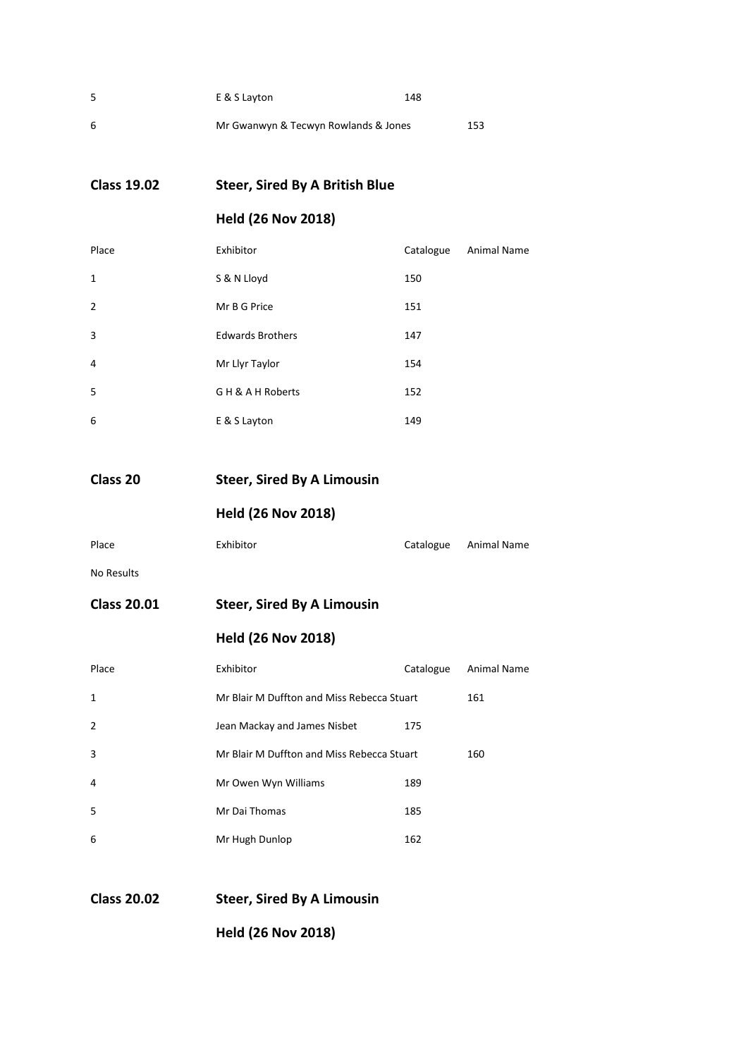| .5 | E & S Layton                         | 148 |
|----|--------------------------------------|-----|
| 6  | Mr Gwanwyn & Tecwyn Rowlands & Jones | 153 |

**Class 19.02 Steer, Sired By A British Blue**

#### **Held (26 Nov 2018)**

| Place          | Exhibitor               | Catalogue | <b>Animal Name</b> |
|----------------|-------------------------|-----------|--------------------|
| $\mathbf{1}$   | S & N Lloyd             | 150       |                    |
| $\overline{2}$ | Mr B G Price            | 151       |                    |
| 3              | <b>Edwards Brothers</b> | 147       |                    |
| 4              | Mr Llyr Taylor          | 154       |                    |
| 5              | GH & A H Roberts        | 152       |                    |
| 6              | E & S Layton            | 149       |                    |

**Class 20 Steer, Sired By A Limousin**

**Held (26 Nov 2018)**

| Place | Exhibitor | Catalogue Animal Name |
|-------|-----------|-----------------------|
|       |           |                       |

No Results

**Class 20.01 Steer, Sired By A Limousin**

#### **Held (26 Nov 2018)**

| Place          | Exhibitor                                  | Catalogue | Animal Name |
|----------------|--------------------------------------------|-----------|-------------|
| 1              | Mr Blair M Duffton and Miss Rebecca Stuart |           | 161         |
| $\overline{2}$ | Jean Mackay and James Nisbet               | 175       |             |
| 3              | Mr Blair M Duffton and Miss Rebecca Stuart |           | 160         |
| 4              | Mr Owen Wyn Williams                       | 189       |             |
| 5              | Mr Dai Thomas                              | 185       |             |
| 6              | Mr Hugh Dunlop                             | 162       |             |

**Class 20.02 Steer, Sired By A Limousin**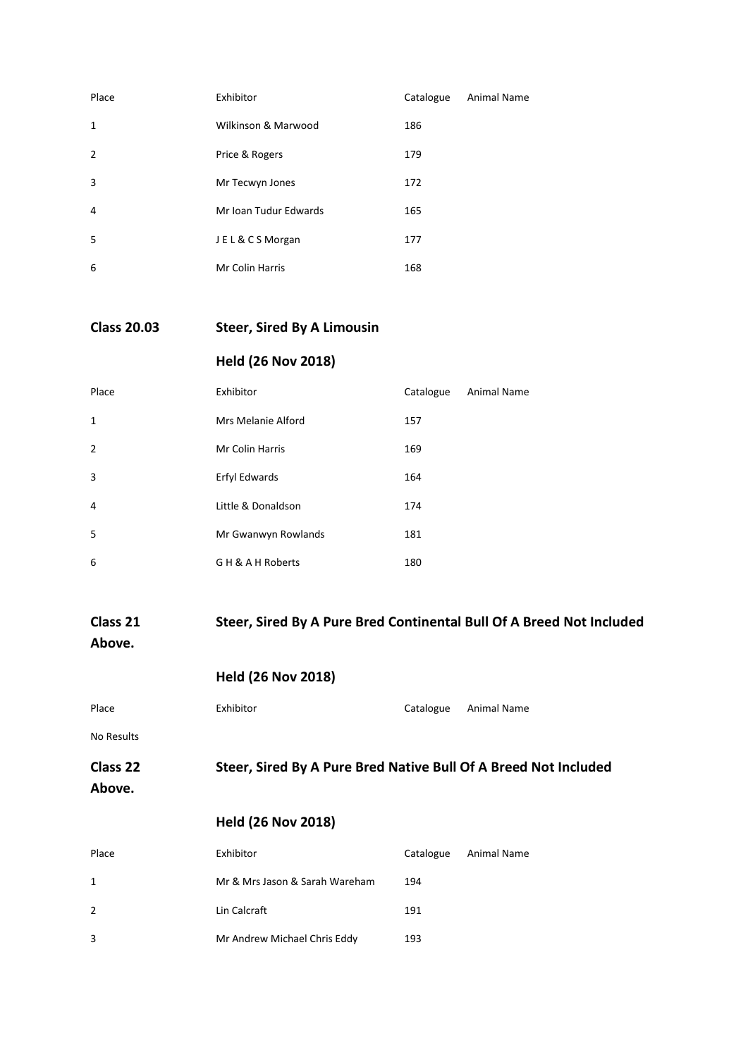| Place          | Exhibitor             | Catalogue | <b>Animal Name</b> |
|----------------|-----------------------|-----------|--------------------|
| 1              | Wilkinson & Marwood   | 186       |                    |
| $\overline{2}$ | Price & Rogers        | 179       |                    |
| 3              | Mr Tecwyn Jones       | 172       |                    |
| 4              | Mr Ioan Tudur Edwards | 165       |                    |
| -5             | JEL&CSMorgan          | 177       |                    |
| 6              | Mr Colin Harris       | 168       |                    |
|                |                       |           |                    |

**Class 20.03 Steer, Sired By A Limousin**

#### **Held (26 Nov 2018)**

| Place          | Exhibitor           | Catalogue | <b>Animal Name</b> |
|----------------|---------------------|-----------|--------------------|
| $\mathbf{1}$   | Mrs Melanie Alford  | 157       |                    |
| $\overline{2}$ | Mr Colin Harris     | 169       |                    |
| 3              | Erfyl Edwards       | 164       |                    |
| $\overline{4}$ | Little & Donaldson  | 174       |                    |
| 5              | Mr Gwanwyn Rowlands | 181       |                    |
| 6              | GH & A H Roberts    | 180       |                    |
|                |                     |           |                    |

#### **Class 21 Steer, Sired By A Pure Bred Continental Bull Of A Breed Not Included Above.**

| Place      | Exhibitor                                          | Catalogue | Animal Name |
|------------|----------------------------------------------------|-----------|-------------|
| No Results |                                                    |           |             |
| Class 22   | Steer, Sired By A Pure Bred Native Bull Of A Breed |           |             |

#### **Class 22 Steer, Sired By A Pure Bred Native Bull Of A Breed Not Included**

**Above.**

| Place | Exhibitor                      | Catalogue | Animal Name |
|-------|--------------------------------|-----------|-------------|
| 1     | Mr & Mrs Jason & Sarah Wareham | 194       |             |
| 2     | Lin Calcraft                   | 191       |             |
| 3     | Mr Andrew Michael Chris Eddy   | 193       |             |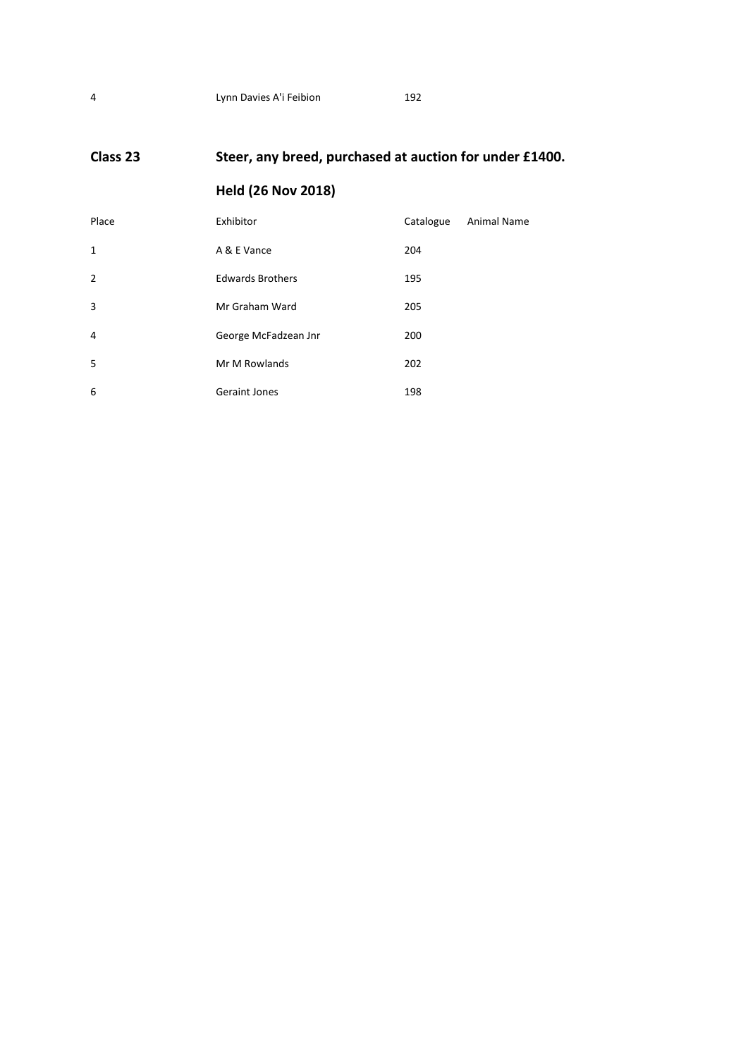### **Class 23 Steer, any breed, purchased at auction for under £1400.**

| Place          | Exhibitor               | Catalogue | Animal Name |
|----------------|-------------------------|-----------|-------------|
| 1              | A & E Vance             | 204       |             |
| $\overline{2}$ | <b>Edwards Brothers</b> | 195       |             |
| 3              | Mr Graham Ward          | 205       |             |
| $\overline{4}$ | George McFadzean Jnr    | 200       |             |
| 5              | Mr M Rowlands           | 202       |             |
| 6              | <b>Geraint Jones</b>    | 198       |             |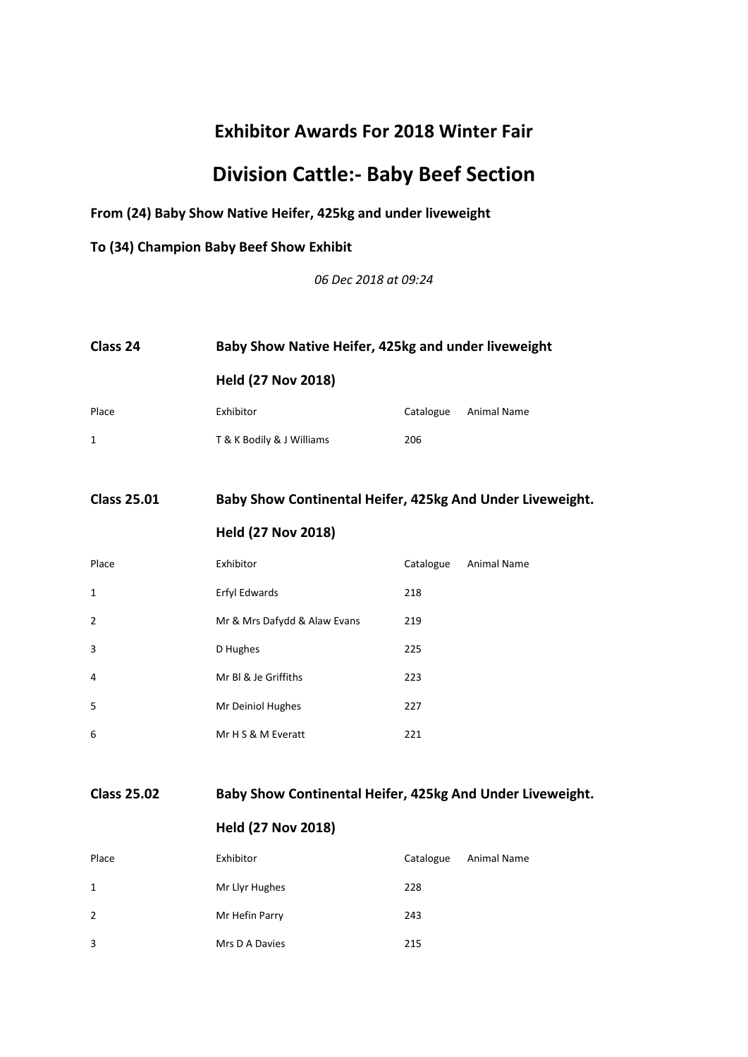# **Division Cattle:- Baby Beef Section**

#### **From (24) Baby Show Native Heifer, 425kg and under liveweight**

**To (34) Champion Baby Beef Show Exhibit**

*06 Dec 2018 at 09:24*

| Class 24 | Baby Show Native Heifer, 425kg and under liveweight<br><b>Held (27 Nov 2018)</b> |           |             |
|----------|----------------------------------------------------------------------------------|-----------|-------------|
|          |                                                                                  |           |             |
| Place    | Exhibitor                                                                        | Catalogue | Animal Name |
| 1        | T & K Bodily & J Williams                                                        | 206       |             |

#### **Class 25.01 Baby Show Continental Heifer, 425kg And Under Liveweight.**

#### **Held (27 Nov 2018)**

| Place          | Exhibitor                    | Catalogue | <b>Animal Name</b> |
|----------------|------------------------------|-----------|--------------------|
| 1              | Erfyl Edwards                | 218       |                    |
| $\overline{2}$ | Mr & Mrs Dafydd & Alaw Evans | 219       |                    |
| 3              | D Hughes                     | 225       |                    |
| 4              | Mr BI & Je Griffiths         | 223       |                    |
| 5              | Mr Deiniol Hughes            | 227       |                    |
| 6              | Mr H S & M Everatt           | 221       |                    |

**Class 25.02 Baby Show Continental Heifer, 425kg And Under Liveweight.**

| Place          | Exhibitor      | Catalogue | Animal Name |
|----------------|----------------|-----------|-------------|
| 1              | Mr Llyr Hughes | 228       |             |
| $\overline{2}$ | Mr Hefin Parry | 243       |             |
| 3              | Mrs D A Davies | 215       |             |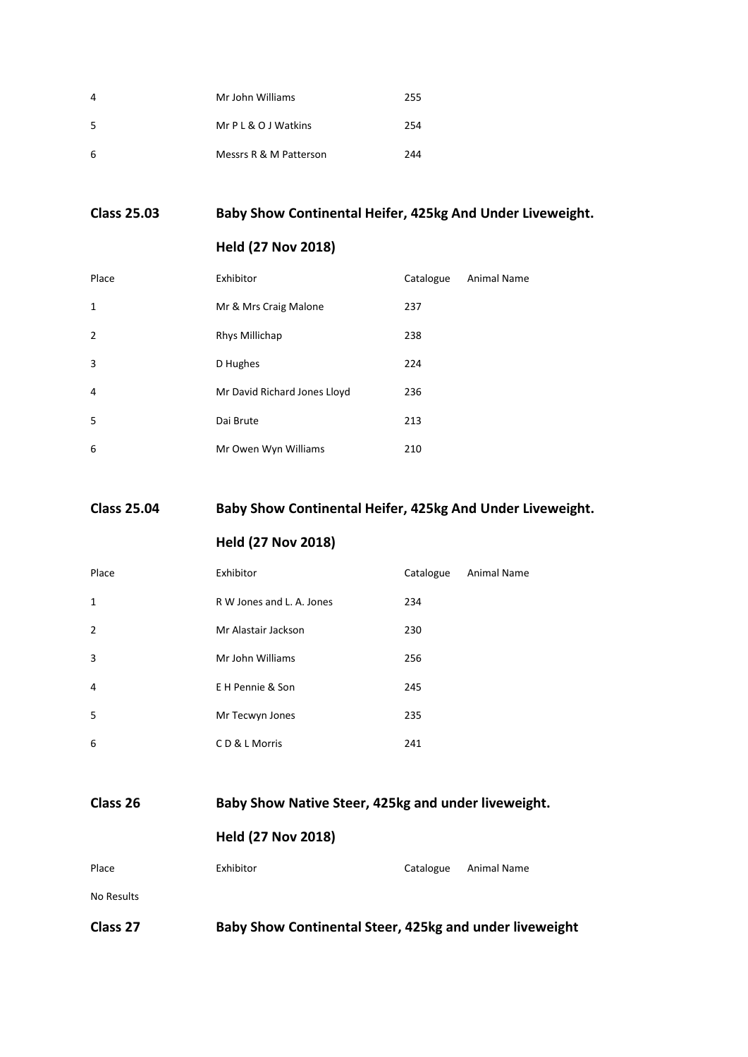| 4  | Mr John Williams       | 255 |
|----|------------------------|-----|
| -5 | Mr P L & O J Watkins   | 254 |
| -6 | Messrs R & M Patterson | 244 |

#### **Class 25.03 Baby Show Continental Heifer, 425kg And Under Liveweight.**

#### **Held (27 Nov 2018)**

| Place          | Exhibitor                    | Catalogue | Animal Name |
|----------------|------------------------------|-----------|-------------|
| 1              | Mr & Mrs Craig Malone        | 237       |             |
| $\overline{2}$ | Rhys Millichap               | 238       |             |
| 3              | D Hughes                     | 224       |             |
| 4              | Mr David Richard Jones Lloyd | 236       |             |
| 5              | Dai Brute                    | 213       |             |
| 6              | Mr Owen Wyn Williams         | 210       |             |

#### **Class 25.04 Baby Show Continental Heifer, 425kg And Under Liveweight.**

#### **Held (27 Nov 2018)**

| Place          | Exhibitor                 | Catalogue | <b>Animal Name</b> |
|----------------|---------------------------|-----------|--------------------|
| $\mathbf{1}$   | R W Jones and L. A. Jones | 234       |                    |
| $\overline{2}$ | Mr Alastair Jackson       | 230       |                    |
| 3              | Mr John Williams          | 256       |                    |
| 4              | E H Pennie & Son          | 245       |                    |
| 5              | Mr Tecwyn Jones           | 235       |                    |
| 6              | CD & L Morris             | 241       |                    |

| Class 26   | Baby Show Native Steer, 425kg and under liveweight. |           |             |
|------------|-----------------------------------------------------|-----------|-------------|
|            | <b>Held (27 Nov 2018)</b>                           |           |             |
| Place      | Exhibitor                                           | Catalogue | Animal Name |
| No Results |                                                     |           |             |

**Class 27 Baby Show Continental Steer, 425kg and under liveweight**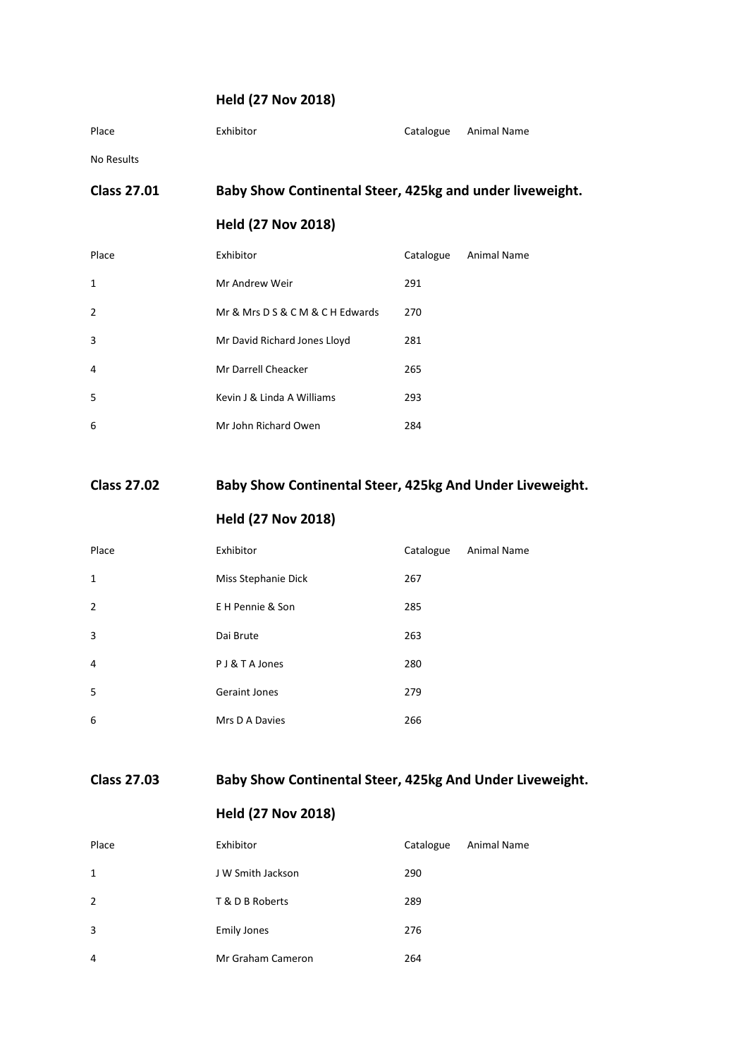#### **Held (27 Nov 2018)**

| <b>Class 27.01</b> | Baby Show Continental Steer, 425kg and under liveweight. |           |             |
|--------------------|----------------------------------------------------------|-----------|-------------|
| No Results         |                                                          |           |             |
| Place              | Exhibitor                                                | Catalogue | Animal Name |

# **Held (27 Nov 2018)** Place Exhibitor Exhibitor Catalogue Animal Name

| $\mathbf{1}$   | Mr Andrew Weir                   | 291 |
|----------------|----------------------------------|-----|
| $\overline{2}$ | Mr & Mrs D S & C M & C H Edwards | 270 |
| 3              | Mr David Richard Jones Lloyd     | 281 |
| 4              | Mr Darrell Cheacker              | 265 |
| .5             | Kevin J & Linda A Williams       | 293 |
| 6              | Mr John Richard Owen             | 284 |

#### **Class 27.02 Baby Show Continental Steer, 425kg And Under Liveweight.**

#### **Held (27 Nov 2018)**

| Place          | Exhibitor            | Catalogue | <b>Animal Name</b> |
|----------------|----------------------|-----------|--------------------|
| 1              | Miss Stephanie Dick  | 267       |                    |
| $\overline{2}$ | E H Pennie & Son     | 285       |                    |
| 3              | Dai Brute            | 263       |                    |
| 4              | P J & T A Jones      | 280       |                    |
| 5              | <b>Geraint Jones</b> | 279       |                    |
| 6              | Mrs D A Davies       | 266       |                    |

**Class 27.03 Baby Show Continental Steer, 425kg And Under Liveweight.**

| Place          | Exhibitor          | Catalogue | Animal Name |
|----------------|--------------------|-----------|-------------|
| 1              | J W Smith Jackson  | 290       |             |
| $\overline{2}$ | T & D B Roberts    | 289       |             |
| 3              | <b>Emily Jones</b> | 276       |             |
| $\overline{4}$ | Mr Graham Cameron  | 264       |             |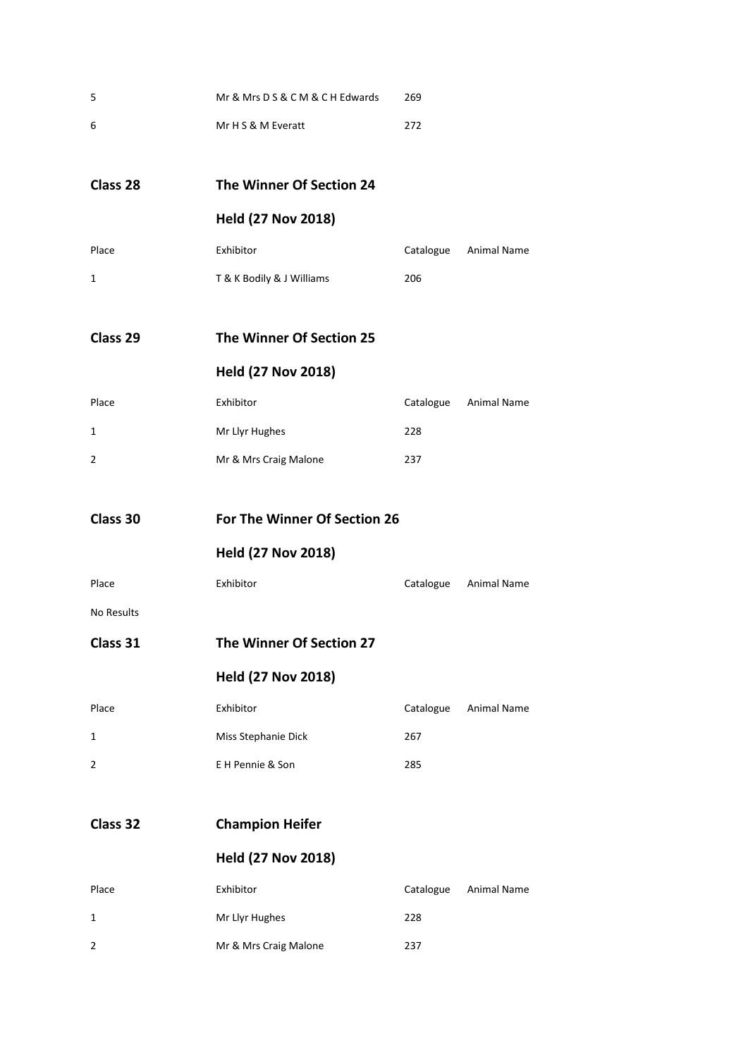| 5            | Mr & Mrs D S & C M & C H Edwards | 269       |                       |
|--------------|----------------------------------|-----------|-----------------------|
| 6            | Mr H S & M Everatt               | 272       |                       |
|              |                                  |           |                       |
| Class 28     | The Winner Of Section 24         |           |                       |
|              | <b>Held (27 Nov 2018)</b>        |           |                       |
| Place        | Exhibitor                        | Catalogue | <b>Animal Name</b>    |
| $\mathbf{1}$ | T & K Bodily & J Williams        | 206       |                       |
| Class 29     | The Winner Of Section 25         |           |                       |
|              | <b>Held (27 Nov 2018)</b>        |           |                       |
| Place        | Exhibitor                        |           | Catalogue Animal Name |
| $\mathbf{1}$ | Mr Llyr Hughes                   | 228       |                       |
| 2            | Mr & Mrs Craig Malone            | 237       |                       |
|              |                                  |           |                       |
| Class 30     | For The Winner Of Section 26     |           |                       |
|              | <b>Held (27 Nov 2018)</b>        |           |                       |
| Place        | Exhibitor                        |           | Catalogue Animal Name |
| No Results   |                                  |           |                       |
| Class 31     | The Winner Of Section 27         |           |                       |
|              | <b>Held (27 Nov 2018)</b>        |           |                       |
| Place        | Exhibitor                        | Catalogue | Animal Name           |
| 1            | Miss Stephanie Dick              | 267       |                       |
| 2            | E H Pennie & Son                 | 285       |                       |
| Class 32     | <b>Champion Heifer</b>           |           |                       |
|              | <b>Held (27 Nov 2018)</b>        |           |                       |
| Place        | Exhibitor                        | Catalogue | Animal Name           |
| $\mathbf{1}$ | Mr Llyr Hughes                   | 228       |                       |
| 2            | Mr & Mrs Craig Malone            | 237       |                       |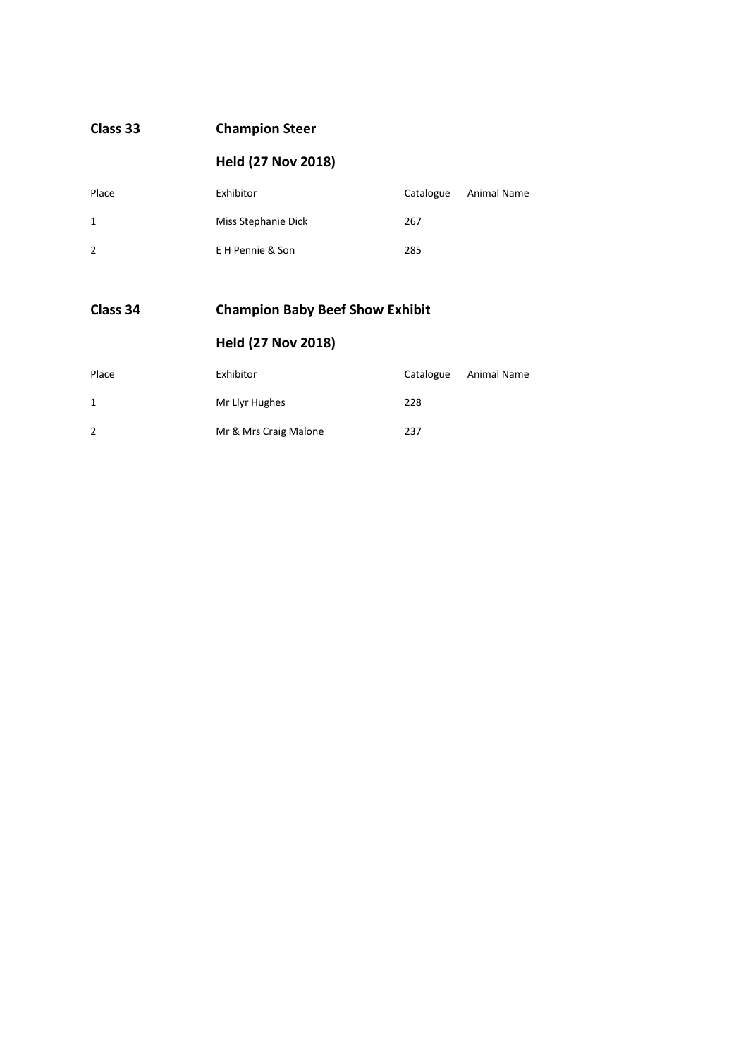| Class 33       | <b>Champion Steer</b>     |           |             |
|----------------|---------------------------|-----------|-------------|
|                | <b>Held (27 Nov 2018)</b> |           |             |
| Place          | Exhibitor                 | Catalogue | Animal Name |
| $\mathbf{1}$   | Miss Stephanie Dick       | 267       |             |
| $\overline{2}$ | E H Pennie & Son          | 285       |             |
|                |                           |           |             |

#### **Class 34 Champion Baby Beef Show Exhibit**

| Place | Exhibitor             | Catalogue | Animal Name |
|-------|-----------------------|-----------|-------------|
| 1     | Mr Llyr Hughes        | 228       |             |
| 2     | Mr & Mrs Craig Malone | 237       |             |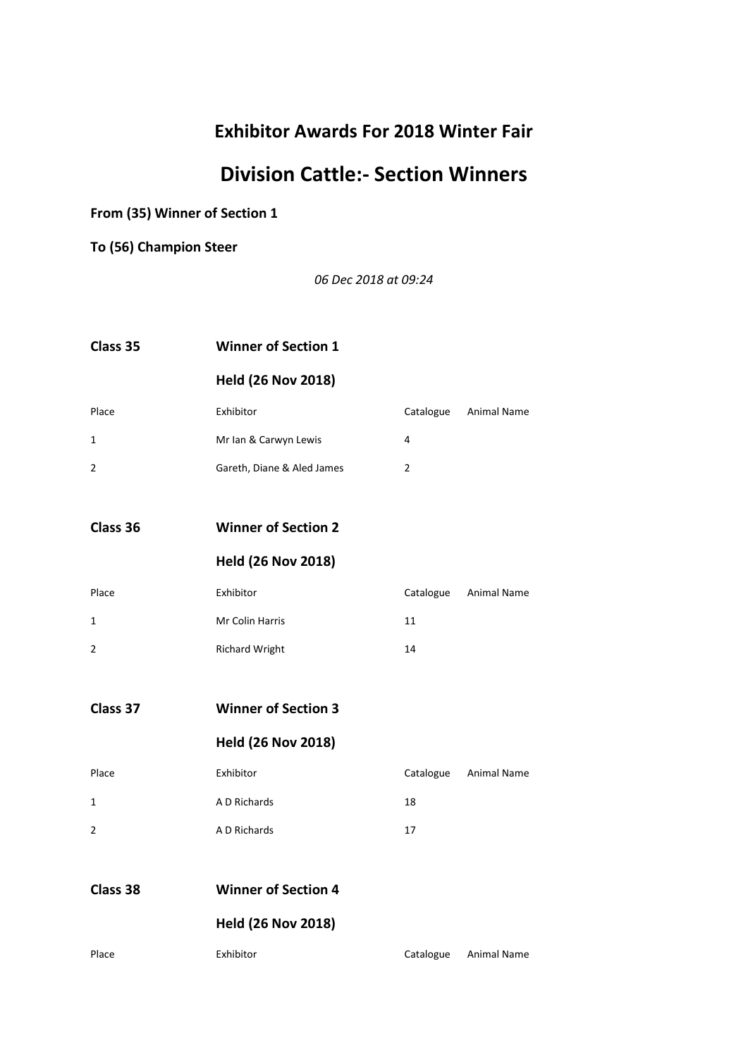# **Division Cattle:- Section Winners**

**From (35) Winner of Section 1**

**To (56) Champion Steer**

*06 Dec 2018 at 09:24*

| Class 35       | <b>Winner of Section 1</b> |                |                       |
|----------------|----------------------------|----------------|-----------------------|
|                | <b>Held (26 Nov 2018)</b>  |                |                       |
| Place          | Exhibitor                  |                | Catalogue Animal Name |
| 1              | Mr Ian & Carwyn Lewis      | 4              |                       |
| $\overline{2}$ | Gareth, Diane & Aled James | $\overline{2}$ |                       |
|                |                            |                |                       |
| Class 36       | <b>Winner of Section 2</b> |                |                       |
|                | <b>Held (26 Nov 2018)</b>  |                |                       |
| Place          | Exhibitor                  | Catalogue      | Animal Name           |
| 1              | Mr Colin Harris            | 11             |                       |
| $\overline{2}$ | <b>Richard Wright</b>      | 14             |                       |
|                |                            |                |                       |
| Class 37       | <b>Winner of Section 3</b> |                |                       |
|                | <b>Held (26 Nov 2018)</b>  |                |                       |
| Place          | Exhibitor                  | Catalogue      | Animal Name           |
| $\mathbf{1}$   | A D Richards               | 18             |                       |
| $\overline{2}$ | A D Richards               | 17             |                       |
|                |                            |                |                       |
| Class 38       | <b>Winner of Section 4</b> |                |                       |
|                | <b>Held (26 Nov 2018)</b>  |                |                       |
| Place          | Exhibitor                  |                | Catalogue Animal Name |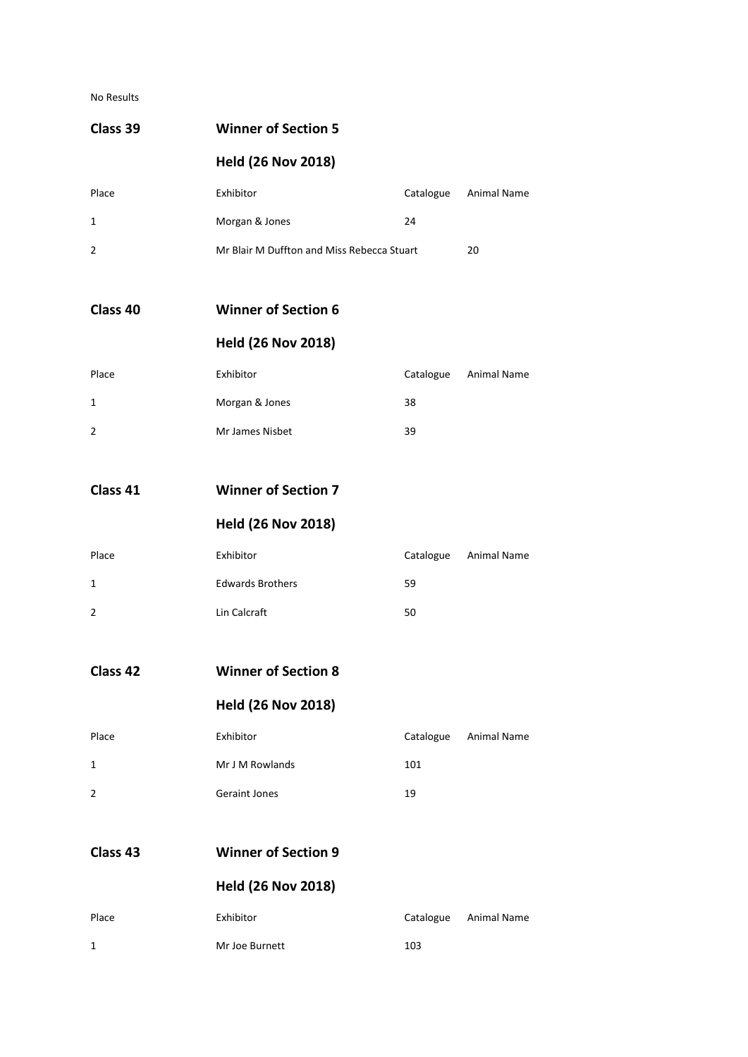No Results

| Class 39            | <b>Winner of Section 5</b>                 |           |                       |
|---------------------|--------------------------------------------|-----------|-----------------------|
|                     | <b>Held (26 Nov 2018)</b>                  |           |                       |
| Place               | Exhibitor                                  | Catalogue | Animal Name           |
| 1                   | Morgan & Jones                             | 24        |                       |
| $\overline{2}$      | Mr Blair M Duffton and Miss Rebecca Stuart |           | 20                    |
| Class 40            | <b>Winner of Section 6</b>                 |           |                       |
|                     | <b>Held (26 Nov 2018)</b>                  |           |                       |
| Place               | Exhibitor                                  | Catalogue | Animal Name           |
| 1                   | Morgan & Jones                             | 38        |                       |
| 2                   | Mr James Nisbet                            | 39        |                       |
| Class 41            | <b>Winner of Section 7</b>                 |           |                       |
|                     | <b>Held (26 Nov 2018)</b>                  |           |                       |
| Place               | Exhibitor                                  | Catalogue | Animal Name           |
| 1                   | <b>Edwards Brothers</b>                    | 59        |                       |
| 2                   | Lin Calcraft                               | 50        |                       |
| Class 42            | <b>Winner of Section 8</b>                 |           |                       |
|                     | <b>Held (26 Nov 2018)</b>                  |           |                       |
| Place               | Exhibitor                                  |           | Catalogue Animal Name |
| 1                   | Mr J M Rowlands                            | 101       |                       |
| 2                   | <b>Geraint Jones</b>                       | 19        |                       |
| Class <sub>43</sub> | <b>Winner of Section 9</b>                 |           |                       |
|                     | <b>Held (26 Nov 2018)</b>                  |           |                       |
| Place               | Exhibitor                                  |           | Catalogue Animal Name |
| 1                   | Mr Joe Burnett                             | 103       |                       |
|                     |                                            |           |                       |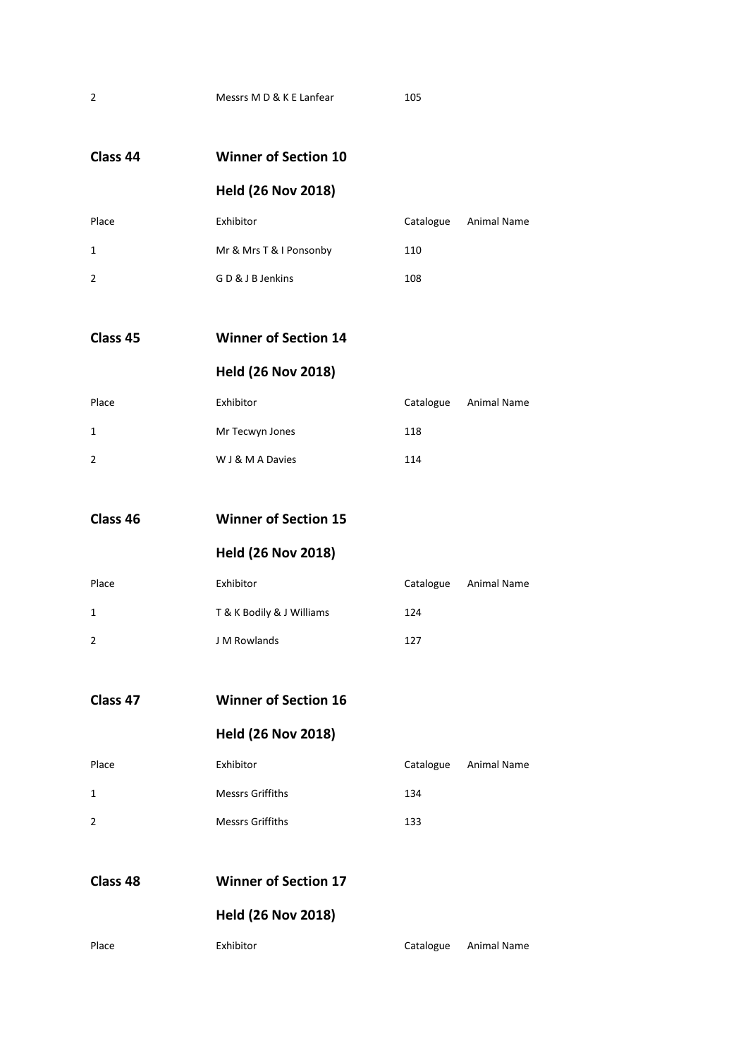| Class 44    | <b>Winner of Section 10</b> |           |                    |
|-------------|-----------------------------|-----------|--------------------|
|             | <b>Held (26 Nov 2018)</b>   |           |                    |
| Place       | Exhibitor                   | Catalogue | <b>Animal Name</b> |
| 1           | Mr & Mrs T & I Ponsonby     | 110       |                    |
| 2           | GD & J B Jenkins            | 108       |                    |
| Class 45    | <b>Winner of Section 14</b> |           |                    |
|             | <b>Held (26 Nov 2018)</b>   |           |                    |
| Place       | Exhibitor                   | Catalogue | Animal Name        |
| 1           | Mr Tecwyn Jones             | 118       |                    |
| 2           | W J & M A Davies            | 114       |                    |
| Class 46    | <b>Winner of Section 15</b> |           |                    |
|             | <b>Held (26 Nov 2018)</b>   |           |                    |
| Place       | Exhibitor                   | Catalogue | Animal Name        |
| 1           | T & K Bodily & J Williams   | 124       |                    |
| 2           | J M Rowlands                | 127       |                    |
| Class 47    | <b>Winner of Section 16</b> |           |                    |
|             | <b>Held (26 Nov 2018)</b>   |           |                    |
| Place       | Exhibitor                   | Catalogue | Animal Name        |
| $\mathbf 1$ | <b>Messrs Griffiths</b>     | 134       |                    |
| 2           | <b>Messrs Griffiths</b>     | 133       |                    |
| Class 48    | <b>Winner of Section 17</b> |           |                    |
|             | <b>Held (26 Nov 2018)</b>   |           |                    |
| Place       | Exhibitor                   | Catalogue | Animal Name        |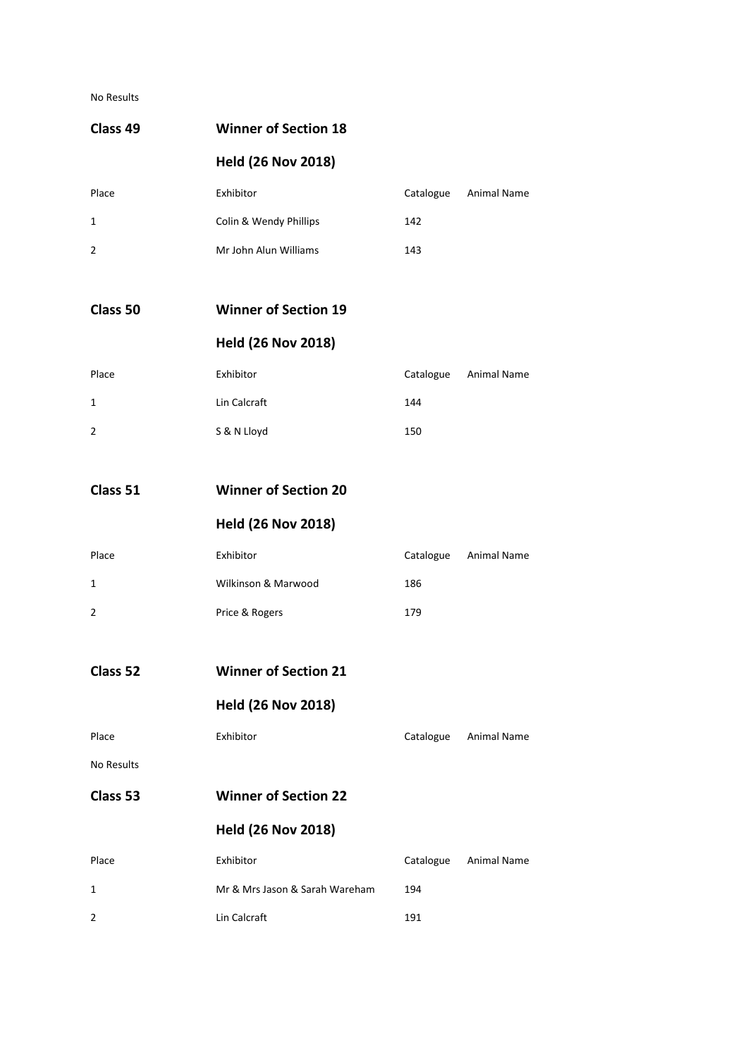#### No Results

| Class <sub>49</sub> | <b>Winner of Section 18</b>    |           |                       |
|---------------------|--------------------------------|-----------|-----------------------|
|                     | <b>Held (26 Nov 2018)</b>      |           |                       |
| Place               | Exhibitor                      | Catalogue | Animal Name           |
| 1                   | Colin & Wendy Phillips         | 142       |                       |
| 2                   | Mr John Alun Williams          | 143       |                       |
| Class 50            | <b>Winner of Section 19</b>    |           |                       |
|                     | <b>Held (26 Nov 2018)</b>      |           |                       |
| Place               | Exhibitor                      | Catalogue | <b>Animal Name</b>    |
| 1                   | Lin Calcraft                   | 144       |                       |
| 2                   | S & N Lloyd                    | 150       |                       |
| Class 51            | <b>Winner of Section 20</b>    |           |                       |
|                     | <b>Held (26 Nov 2018)</b>      |           |                       |
| Place               | Exhibitor                      | Catalogue | Animal Name           |
| 1                   | Wilkinson & Marwood            | 186       |                       |
| 2                   | Price & Rogers                 | 179       |                       |
| Class 52            | <b>Winner of Section 21</b>    |           |                       |
|                     | <b>Held (26 Nov 2018)</b>      |           |                       |
| Place               | Exhibitor                      |           | Catalogue Animal Name |
| No Results          |                                |           |                       |
| Class 53            | <b>Winner of Section 22</b>    |           |                       |
|                     | <b>Held (26 Nov 2018)</b>      |           |                       |
| Place               | Exhibitor                      | Catalogue | Animal Name           |
| 1                   | Mr & Mrs Jason & Sarah Wareham | 194       |                       |
| 2                   | Lin Calcraft                   | 191       |                       |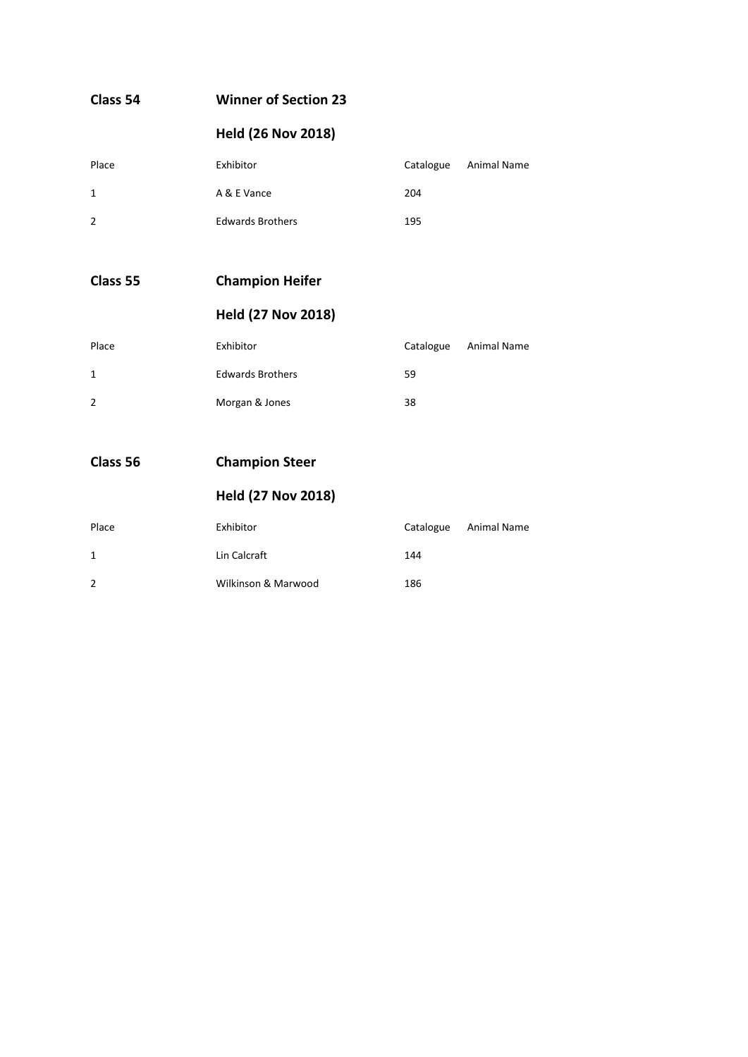| Class 54       | <b>Winner of Section 23</b> |           |                    |
|----------------|-----------------------------|-----------|--------------------|
|                | <b>Held (26 Nov 2018)</b>   |           |                    |
| Place          | Exhibitor                   | Catalogue | <b>Animal Name</b> |
| $\mathbf{1}$   | A & E Vance                 | 204       |                    |
| $\overline{2}$ | <b>Edwards Brothers</b>     | 195       |                    |
|                |                             |           |                    |
| Class 55       | <b>Champion Heifer</b>      |           |                    |
|                | <b>Held (27 Nov 2018)</b>   |           |                    |
| Place          | Exhibitor                   | Catalogue | Animal Name        |
| $\mathbf{1}$   | <b>Edwards Brothers</b>     | 59        |                    |
| $\overline{2}$ | Morgan & Jones              | 38        |                    |
|                |                             |           |                    |
| Class 56       | <b>Champion Steer</b>       |           |                    |
|                | <b>Held (27 Nov 2018)</b>   |           |                    |
| Place          | Exhibitor                   | Catalogue | <b>Animal Name</b> |

1 Lin Calcraft 144

2 Wilkinson & Marwood 186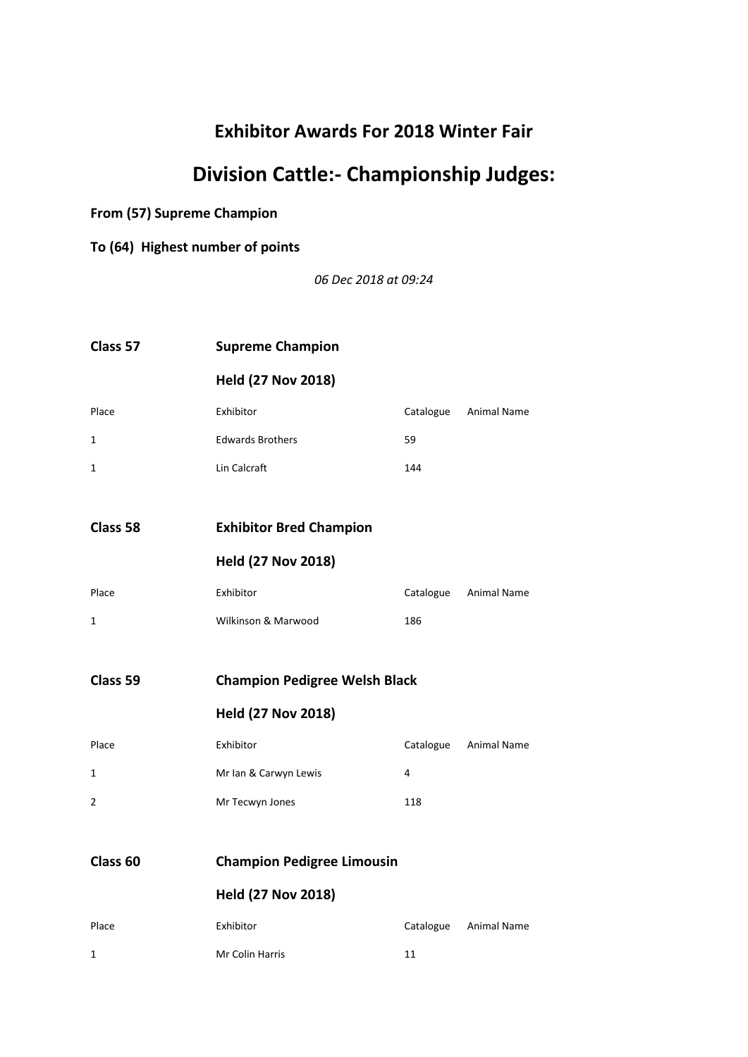# **Division Cattle:- Championship Judges:**

**From (57) Supreme Champion**

**To (64) Highest number of points**

*06 Dec 2018 at 09:24*

| Class 57            | <b>Supreme Champion</b>              |     |                       |  |
|---------------------|--------------------------------------|-----|-----------------------|--|
|                     | <b>Held (27 Nov 2018)</b>            |     |                       |  |
| Place               | Exhibitor                            |     | Catalogue Animal Name |  |
| 1                   | <b>Edwards Brothers</b>              | 59  |                       |  |
| 1                   | Lin Calcraft                         | 144 |                       |  |
|                     |                                      |     |                       |  |
| Class 58            | <b>Exhibitor Bred Champion</b>       |     |                       |  |
|                     | <b>Held (27 Nov 2018)</b>            |     |                       |  |
| Place               | Exhibitor                            |     | Catalogue Animal Name |  |
| 1                   | Wilkinson & Marwood                  | 186 |                       |  |
|                     |                                      |     |                       |  |
| Class 59            | <b>Champion Pedigree Welsh Black</b> |     |                       |  |
|                     | <b>Held (27 Nov 2018)</b>            |     |                       |  |
| Place               | Exhibitor                            |     | Catalogue Animal Name |  |
| 1                   | Mr Ian & Carwyn Lewis                | 4   |                       |  |
| $\overline{2}$      | Mr Tecwyn Jones                      | 118 |                       |  |
|                     |                                      |     |                       |  |
| Class <sub>60</sub> | <b>Champion Pedigree Limousin</b>    |     |                       |  |
|                     | <b>Held (27 Nov 2018)</b>            |     |                       |  |
| Place               | Exhibitor                            |     | Catalogue Animal Name |  |
| 1                   | Mr Colin Harris                      | 11  |                       |  |